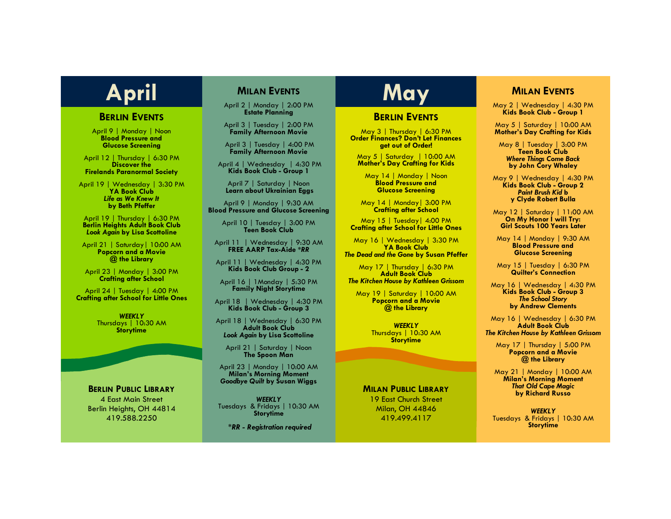### **BERLIN EVENTS**

April 9 | Monday | Noon **Blood Pressure and Glucose Screening**

April 12 | Thursday | 6:30 PM **Discover the Firelands Paranormal Society**

April 19 | Wednesday | 3:30 PM **YA Book Club** *Life as We Knew It*  **by Beth Pfeffer**

April 19 | Thursday | 6:30 PM **Berlin Heights Adult Book Club** *Look Again* **by Lisa Scottoline**

April 21 | Saturday| 10:00 AM **Popcorn and a Movie @ the Library**

April 23 | Monday | 3:00 PM **Crafting after School**

April 24 | Tuesday | 4:00 PM **Crafting after School for Little Ones**

> *WEEKLY* Thursdays | 10:30 AM **Storytime**

#### **BERLIN PUBLIC LIBRARY**

4 East Main Street Berlin Heights, OH 44814 419.588.2250

# **MILAN EVENTS**

April 2 | Monday | 2:00 PM **Estate Planning**

April 3 | Tuesday | 2:00 PM **Family Afternoon Movie**

April 3 | Tuesday | 4:00 PM **Family Afternoon Movie**

April 4 | Wednesday | 4:30 PM **Kids Book Club - Group 1**

April 7 | Saturday | Noon **Learn about Ukrainian Eggs**

April 9 | Monday | 9:30 AM **Blood Pressure and Glucose Screening**

> April 10 | Tuesday | 3:00 PM **Teen Book Club**

April 11 | Wednesday | 9:30 AM **FREE AARP Tax-Aide \****RR*

April 11 | Wednesday | 4:30 PM **Kids Book Club Group - 2**

April 16 | 1Monday | 5:30 PM **Family Night Storytime**

April 18 | Wednesday | 4:30 PM **Kids Book Club - Group 3**

April 18 | Wednesday | 6:30 PM **Adult Book Club** *Look Again* **by Lisa Scottoline**

April 21 | Saturday | Noon **The Spoon Man**

April 23 | Monday | 10:00 AM **Milan's Morning Moment** *Goodbye Quilt* **by Susan Wiggs**

*WEEKLY* Tuesdays & Fridays | 10:30 AM **Storytime**

*\*RR - Registration required*

# April **MILAN EVENTS May**

## **BERLIN EVENTS**

May 3 | Thursday | 6:30 PM **Order Finances? Don't Let Finances get out of Order!**

May 5 | Saturday | 10:00 AM **Mother's Day Crafting for Kids**

May 14 | Monday | Noon **Blood Pressure and Glucose Screening**

May 14 | Monday| 3:00 PM **Crafting after School**

May 15 | Tuesday| 4:00 PM **Crafting after School for Little Ones** 

May 16 | Wednesday | 3:30 PM **YA Book Club**  *The Dead and the Gone* **by Susan Pfeffer**

May 17 | Thursday | 6:30 PM **Adult Book Club** *The Kitchen House by Kathleen Grissom*

May 19 | Saturday | 10:00 AM **Popcorn and a Movie @ the Library**

> *WEEKLY* Thursdays | 10:30 AM **Storytime**

#### **MILAN PUBLIC LIBRARY**

19 East Church Street Milan, OH 44846 419.499.4117

# **MILAN EVENTS**

May 2 | Wednesday | 4:30 PM **Kids Book Club - Group 1**

May 5 | Saturday | 10:00 AM **Mother's Day Crafting for Kids**

May 8 | Tuesday | 3:00 PM **Teen Book Club** *Where Things Come Back*  **by John Cory Whaley**

May 9 | Wednesday | 4:30 PM **Kids Book Club - Group 2** *Paint Brush Kid* **b y Clyde Robert Bulla**

May 12 | Saturday | 11:00 AM **On My Honor I will Try: Girl Scouts 100 Years Later**

May 14 | Monday | 9:30 AM **Blood Pressure and Glucose Screening**

May 15 | Tuesday | 6:30 PM **Quilter's Connection**

May 16 | Wednesday | 4:30 PM **Kids Book Club - Group 3** *The School Story*  **by Andrew Clements**

May 16 | Wednesday | 6:30 PM **Adult Book Club** *The Kitchen House by Kathleen Grissom*

May 17 | Thursday | 5:00 PM **Popcorn and a Movie @ the Library**

May 21 | Monday | 10:00 AM **Milan's Morning Moment** *That Old Cape Magic*  **by Richard Russo**

*WEEKLY* Tuesdays & Fridays | 10:30 AM **Storytime**